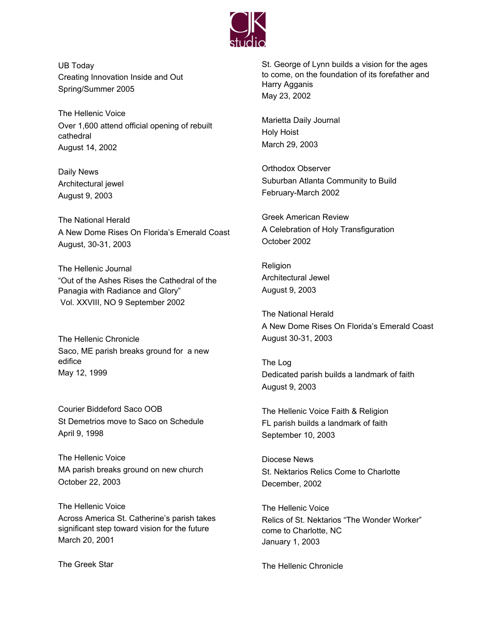

UB Today Creating Innovation Inside and Out Spring/Summer 2005

The Hellenic Voice Over 1,600 attend official opening of rebuilt cathedral August 14, 2002

Daily News Architectural jewel August 9, 2003

The National Herald A New Dome Rises On Florida's Emerald Coast August, 30-31, 2003

The Hellenic Journal "Out of the Ashes Rises the Cathedral of the Panagia with Radiance and Glory" Vol. XXVIII, NO 9 September 2002

The Hellenic Chronicle Saco, ME parish breaks ground for a new edifice May 12, 1999

Courier Biddeford Saco OOB St Demetrios move to Saco on Schedule April 9, 1998

The Hellenic Voice MA parish breaks ground on new church October 22, 2003

The Hellenic Voice Across America St. Catherine's parish takes significant step toward vision for the future March 20, 2001

The Greek Star

St. George of Lynn builds a vision for the ages to come, on the foundation of its forefather and Harry Agganis May 23, 2002

Marietta Daily Journal Holy Hoist March 29, 2003

Orthodox Observer Suburban Atlanta Community to Build February-March 2002

Greek American Review A Celebration of Holy Transfiguration October 2002

Religion Architectural Jewel August 9, 2003

The National Herald A New Dome Rises On Florida's Emerald Coast August 30-31, 2003

The Log Dedicated parish builds a landmark of faith August 9, 2003

The Hellenic Voice Faith & Religion FL parish builds a landmark of faith September 10, 2003

Diocese News St. Nektarios Relics Come to Charlotte December, 2002

The Hellenic Voice Relics of St. Nektarios "The Wonder Worker" come to Charlotte, NC January 1, 2003

The Hellenic Chronicle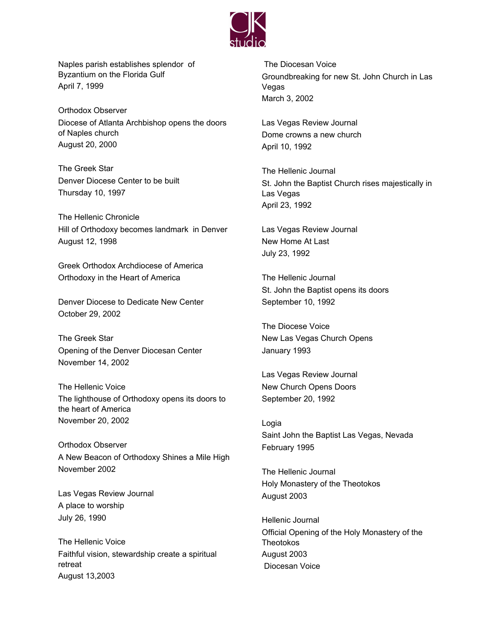

Naples parish establishes splendor of Byzantium on the Florida Gulf April 7, 1999

Orthodox Observer Diocese of Atlanta Archbishop opens the doors of Naples church August 20, 2000

The Greek Star Denver Diocese Center to be built Thursday 10, 1997

The Hellenic Chronicle Hill of Orthodoxy becomes landmark in Denver August 12, 1998

Greek Orthodox Archdiocese of America Orthodoxy in the Heart of America

Denver Diocese to Dedicate New Center October 29, 2002

The Greek Star Opening of the Denver Diocesan Center November 14, 2002

The Hellenic Voice The lighthouse of Orthodoxy opens its doors to the heart of America November 20, 2002

Orthodox Observer A New Beacon of Orthodoxy Shines a Mile High November 2002

Las Vegas Review Journal A place to worship July 26, 1990

The Hellenic Voice Faithful vision, stewardship create a spiritual retreat August 13,2003

The Diocesan Voice Groundbreaking for new St. John Church in Las Vegas March 3, 2002

Las Vegas Review Journal Dome crowns a new church April 10, 1992

The Hellenic Journal St. John the Baptist Church rises majestically in Las Vegas April 23, 1992

Las Vegas Review Journal New Home At Last July 23, 1992

The Hellenic Journal St. John the Baptist opens its doors September 10, 1992

The Diocese Voice New Las Vegas Church Opens January 1993

Las Vegas Review Journal New Church Opens Doors September 20, 1992

Logia Saint John the Baptist Las Vegas, Nevada February 1995

The Hellenic Journal Holy Monastery of the Theotokos August 2003

Hellenic Journal Official Opening of the Holy Monastery of the Theotokos August 2003 Diocesan Voice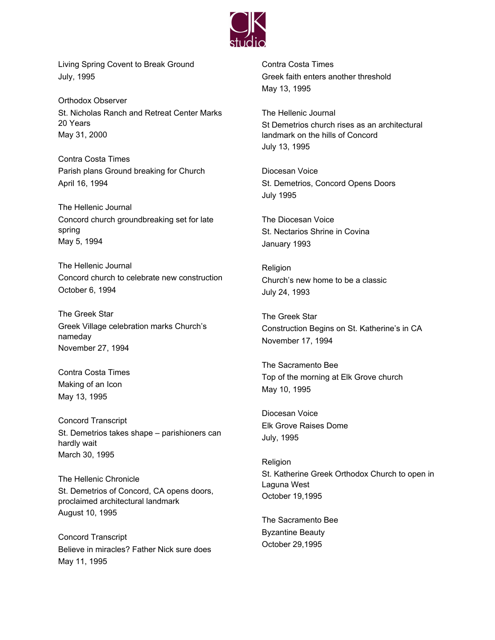

Living Spring Covent to Break Ground July, 1995

Orthodox Observer St. Nicholas Ranch and Retreat Center Marks 20 Years May 31, 2000

Contra Costa Times Parish plans Ground breaking for Church April 16, 1994

The Hellenic Journal Concord church groundbreaking set for late spring May 5, 1994

The Hellenic Journal Concord church to celebrate new construction October 6, 1994

The Greek Star Greek Village celebration marks Church's nameday November 27, 1994

Contra Costa Times Making of an Icon May 13, 1995

Concord Transcript St. Demetrios takes shape – parishioners can hardly wait March 30, 1995

The Hellenic Chronicle St. Demetrios of Concord, CA opens doors, proclaimed architectural landmark August 10, 1995

Concord Transcript Believe in miracles? Father Nick sure does May 11, 1995

Contra Costa Times Greek faith enters another threshold May 13, 1995

The Hellenic Journal St Demetrios church rises as an architectural landmark on the hills of Concord July 13, 1995

Diocesan Voice St. Demetrios, Concord Opens Doors July 1995

The Diocesan Voice St. Nectarios Shrine in Covina January 1993

Religion Church's new home to be a classic July 24, 1993

The Greek Star Construction Begins on St. Katherine's in CA November 17, 1994

The Sacramento Bee Top of the morning at Elk Grove church May 10, 1995

Diocesan Voice Elk Grove Raises Dome July, 1995

Religion St. Katherine Greek Orthodox Church to open in Laguna West October 19,1995

The Sacramento Bee Byzantine Beauty October 29,1995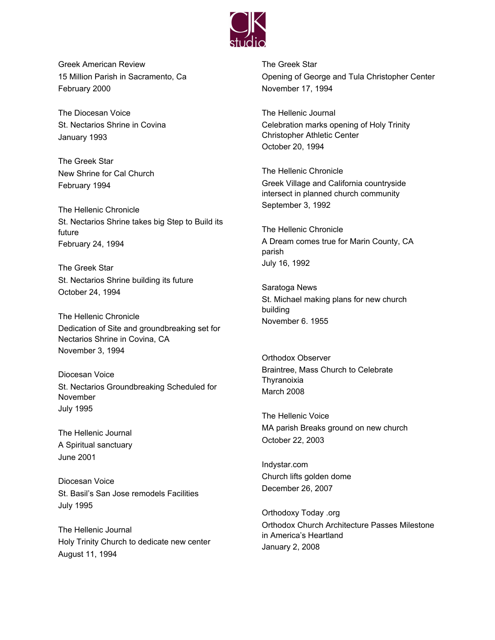

Greek American Review 15 Million Parish in Sacramento, Ca February 2000

The Diocesan Voice St. Nectarios Shrine in Covina January 1993

The Greek Star New Shrine for Cal Church February 1994

The Hellenic Chronicle St. Nectarios Shrine takes big Step to Build its future February 24, 1994

The Greek Star St. Nectarios Shrine building its future October 24, 1994

The Hellenic Chronicle Dedication of Site and groundbreaking set for Nectarios Shrine in Covina, CA November 3, 1994

Diocesan Voice St. Nectarios Groundbreaking Scheduled for November July 1995

The Hellenic Journal A Spiritual sanctuary June 2001

Diocesan Voice St. Basil's San Jose remodels Facilities July 1995

The Hellenic Journal Holy Trinity Church to dedicate new center August 11, 1994

The Greek Star Opening of George and Tula Christopher Center November 17, 1994

The Hellenic Journal Celebration marks opening of Holy Trinity Christopher Athletic Center October 20, 1994

The Hellenic Chronicle Greek Village and California countryside intersect in planned church community September 3, 1992

The Hellenic Chronicle A Dream comes true for Marin County, CA parish July 16, 1992

Saratoga News St. Michael making plans for new church building November 6. 1955

Orthodox Observer Braintree, Mass Church to Celebrate Thyranoixia March 2008

The Hellenic Voice MA parish Breaks ground on new church October 22, 2003

Indystar.com Church lifts golden dome December 26, 2007

Orthodoxy Today .org Orthodox Church Architecture Passes Milestone in America's Heartland January 2, 2008